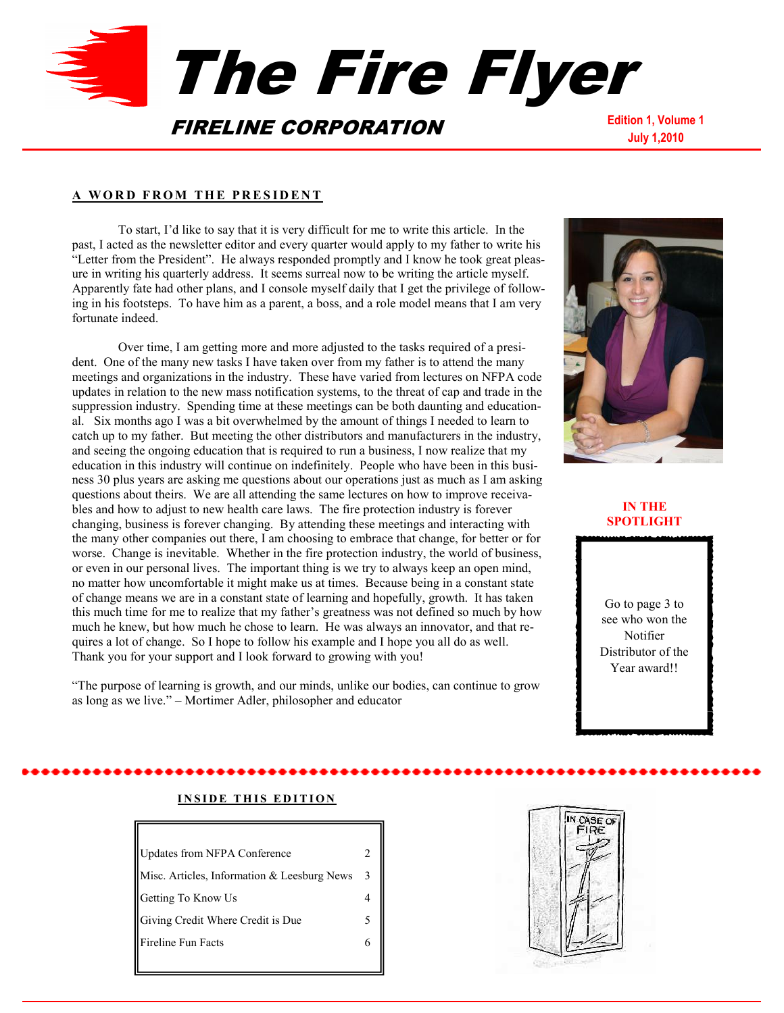

#### **A W O R D F R O M T H E P R E S I D E N T**

To start, I'd like to say that it is very difficult for me to write this article. In the past, I acted as the newsletter editor and every quarter would apply to my father to write his "Letter from the President". He always responded promptly and I know he took great pleasure in writing his quarterly address. It seems surreal now to be writing the article myself. Apparently fate had other plans, and I console myself daily that I get the privilege of following in his footsteps. To have him as a parent, a boss, and a role model means that I am very fortunate indeed.

Over time, I am getting more and more adjusted to the tasks required of a president. One of the many new tasks I have taken over from my father is to attend the many meetings and organizations in the industry. These have varied from lectures on NFPA code updates in relation to the new mass notification systems, to the threat of cap and trade in the suppression industry. Spending time at these meetings can be both daunting and educational. Six months ago I was a bit overwhelmed by the amount of things I needed to learn to catch up to my father. But meeting the other distributors and manufacturers in the industry, and seeing the ongoing education that is required to run a business, I now realize that my education in this industry will continue on indefinitely. People who have been in this business 30 plus years are asking me questions about our operations just as much as I am asking questions about theirs. We are all attending the same lectures on how to improve receivables and how to adjust to new health care laws. The fire protection industry is forever changing, business is forever changing. By attending these meetings and interacting with the many other companies out there, I am choosing to embrace that change, for better or for worse. Change is inevitable. Whether in the fire protection industry, the world of business, or even in our personal lives. The important thing is we try to always keep an open mind, no matter how uncomfortable it might make us at times. Because being in a constant state of change means we are in a constant state of learning and hopefully, growth. It has taken this much time for me to realize that my father's greatness was not defined so much by how much he knew, but how much he chose to learn. He was always an innovator, and that requires a lot of change. So I hope to follow his example and I hope you all do as well. Thank you for your support and I look forward to growing with you!

"The purpose of learning is growth, and our minds, unlike our bodies, can continue to grow as long as we live." – Mortimer Adler, philosopher and educator



# **IN THE SPOTLIGHT**

Go to page 3 to see who won the Notifier Distributor of the Year award!!

# **INSIDE THIS EDITION**

| <b>Updates from NFPA Conference</b>         |    |
|---------------------------------------------|----|
| Misc. Articles, Information & Leesburg News | -3 |
| Getting To Know Us                          |    |
| Giving Credit Where Credit is Due           | 5. |
| <b>Fireline Fun Facts</b>                   |    |
|                                             |    |

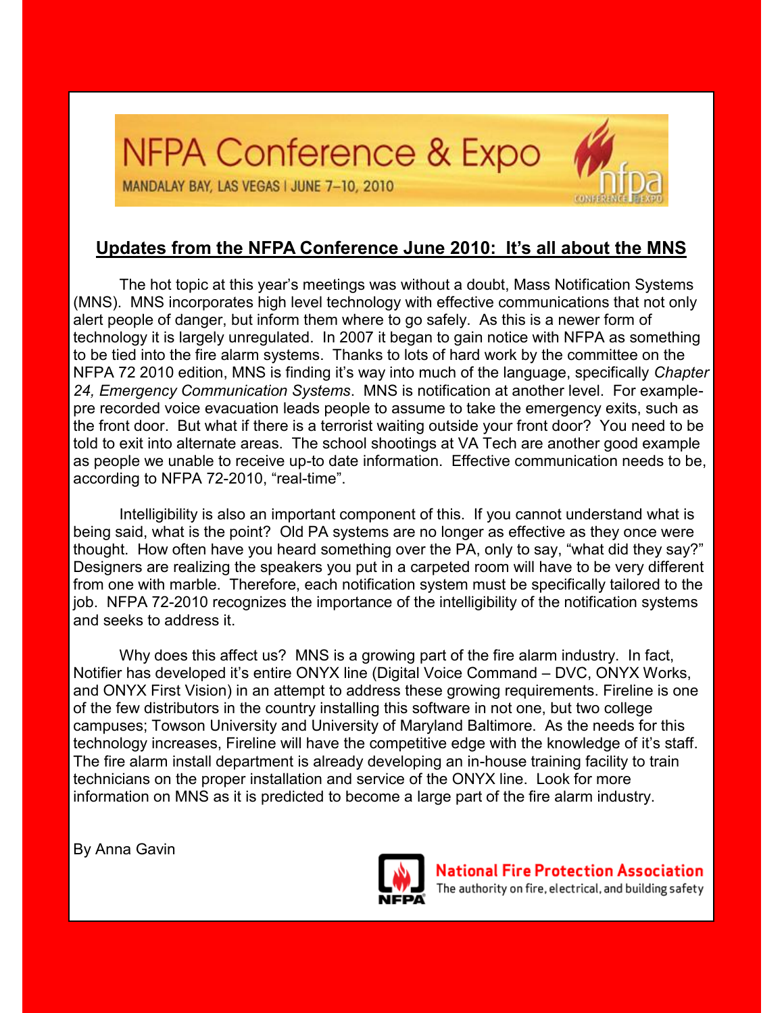# NFPA Conference & Expo MANDALAY BAY, LAS VEGAS I JUNE 7-10, 2010

# **Updates from the NFPA Conference June 2010: It's all about the MNS**

The hot topic at this year's meetings was without a doubt, Mass Notification Systems (MNS). MNS incorporates high level technology with effective communications that not only alert people of danger, but inform them where to go safely. As this is a newer form of technology it is largely unregulated. In 2007 it began to gain notice with NFPA as something to be tied into the fire alarm systems. Thanks to lots of hard work by the committee on the NFPA 72 2010 edition, MNS is finding it's way into much of the language, specifically *Chapter 24, Emergency Communication Systems*. MNS is notification at another level. For examplepre recorded voice evacuation leads people to assume to take the emergency exits, such as the front door. But what if there is a terrorist waiting outside your front door? You need to be told to exit into alternate areas. The school shootings at VA Tech are another good example as people we unable to receive up-to date information. Effective communication needs to be, according to NFPA 72-2010, "real-time".

Intelligibility is also an important component of this. If you cannot understand what is being said, what is the point? Old PA systems are no longer as effective as they once were thought. How often have you heard something over the PA, only to say, "what did they say?" Designers are realizing the speakers you put in a carpeted room will have to be very different from one with marble. Therefore, each notification system must be specifically tailored to the job. NFPA 72-2010 recognizes the importance of the intelligibility of the notification systems and seeks to address it.

Why does this affect us? MNS is a growing part of the fire alarm industry. In fact, Notifier has developed it's entire ONYX line (Digital Voice Command – DVC, ONYX Works, and ONYX First Vision) in an attempt to address these growing requirements. Fireline is one of the few distributors in the country installing this software in not one, but two college campuses; Towson University and University of Maryland Baltimore. As the needs for this technology increases, Fireline will have the competitive edge with the knowledge of it's staff. The fire alarm install department is already developing an in-house training facility to train technicians on the proper installation and service of the ONYX line. Look for more information on MNS as it is predicted to become a large part of the fire alarm industry.

By Anna Gavin



**National Fire Protection Association** The authority on fire, electrical, and building safety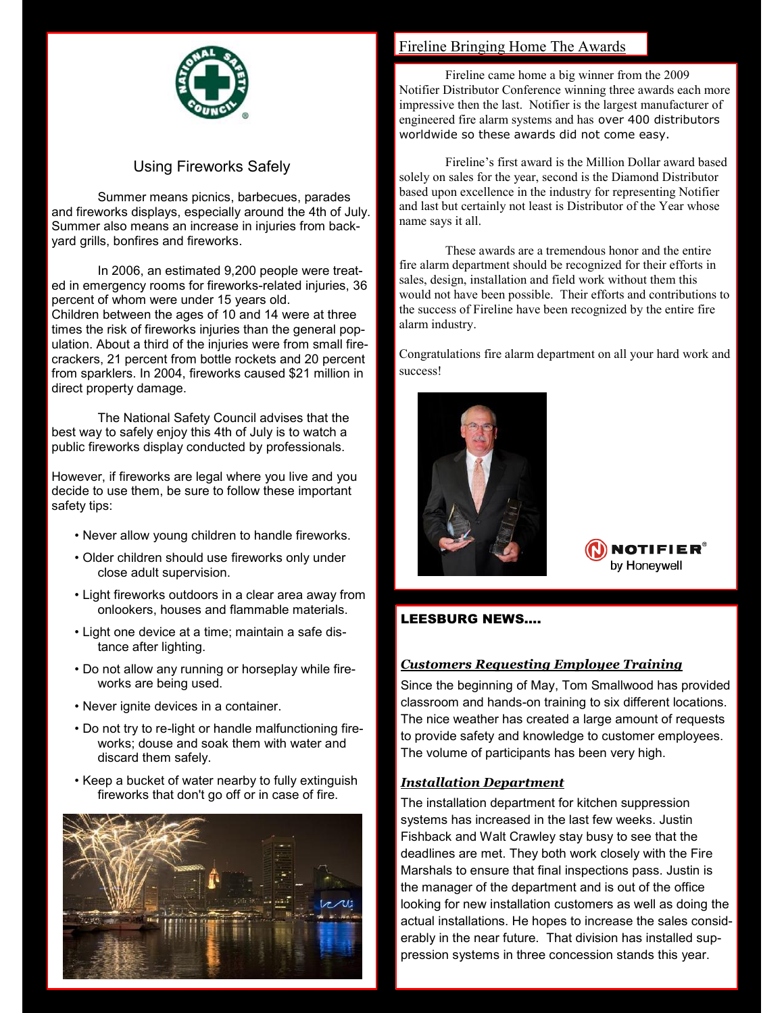

# Using Fireworks Safely

Summer means picnics, barbecues, parades and fireworks displays, especially around the 4th of July. Summer also means an increase in injuries from backyard grills, bonfires and fireworks.

In 2006, an estimated 9,200 people were treated in emergency rooms for fireworks-related injuries, 36 percent of whom were under 15 years old. Children between the ages of 10 and 14 were at three times the risk of fireworks injuries than the general population. About a third of the injuries were from small firecrackers, 21 percent from bottle rockets and 20 percent from sparklers. In 2004, fireworks caused \$21 million in direct property damage.

The National Safety Council advises that the best way to safely enjoy this 4th of July is to watch a public fireworks display conducted by professionals.

However, if fireworks are legal where you live and you decide to use them, be sure to follow these important safety tips:

- Never allow young children to handle fireworks.
- Older children should use fireworks only under close adult supervision.
- Light fireworks outdoors in a clear area away from onlookers, houses and flammable materials.
- Light one device at a time; maintain a safe distance after lighting.
- Do not allow any running or horseplay while fireworks are being used.
- Never ignite devices in a container.
- Do not try to re-light or handle malfunctioning fireworks; douse and soak them with water and discard them safely.
- Keep a bucket of water nearby to fully extinguish fireworks that don't go off or in case of fire.



# Fireline Bringing Home The Awards

Fireline came home a big winner from the 2009 Notifier Distributor Conference winning three awards each more impressive then the last. Notifier is the largest manufacturer of engineered fire alarm systems and has over 400 distributors worldwide so these awards did not come easy.

Fireline's first award is the Million Dollar award based solely on sales for the year, second is the Diamond Distributor based upon excellence in the industry for representing Notifier and last but certainly not least is Distributor of the Year whose name says it all.

These awards are a tremendous honor and the entire fire alarm department should be recognized for their efforts in sales, design, installation and field work without them this would not have been possible. Their efforts and contributions to the success of Fireline have been recognized by the entire fire alarm industry.

Congratulations fire alarm department on all your hard work and success!



NOTIFIEI by Honeywell

# LEESBURG NEWS….

# *Customers Requesting Employee Training*

Since the beginning of May, Tom Smallwood has provided classroom and hands-on training to six different locations. The nice weather has created a large amount of requests to provide safety and knowledge to customer employees. The volume of participants has been very high.

# *Installation Department*

The installation department for kitchen suppression systems has increased in the last few weeks. Justin Fishback and Walt Crawley stay busy to see that the deadlines are met. They both work closely with the Fire Marshals to ensure that final inspections pass. Justin is the manager of the department and is out of the office looking for new installation customers as well as doing the actual installations. He hopes to increase the sales considerably in the near future. That division has installed suppression systems in three concession stands this year.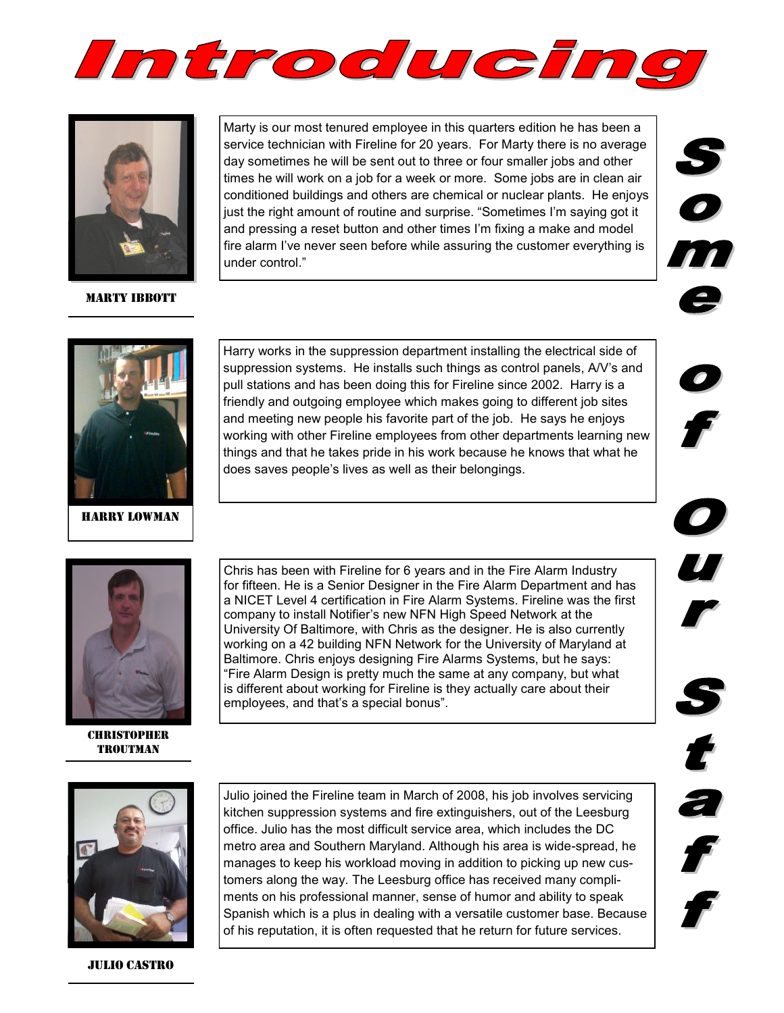



**MARTY IBBOTT** 

Marty is our most tenured employee in this quarters edition he has been a service technician with Fireline for 20 years. For Marty there is no average day sometimes he will be sent out to three or four smaller jobs and other times he will work on a job for a week or more. Some jobs are in clean air conditioned buildings and others are chemical or nuclear plants. He enjoys just the right amount of routine and surprise. "Sometimes I'm saying got it and pressing a reset button and other times I'm fixing a make and model fire alarm I've never seen before while assuring the customer everything is under control."



t

 $\mathcal{L}_{\mathcal{A}}$ 



Harry Lowman

Harry works in the suppression department installing the electrical side of suppression systems. He installs such things as control panels, A/V's and pull stations and has been doing this for Fireline since 2002. Harry is a friendly and outgoing employee which makes going to different job sites and meeting new people his favorite part of the job. He says he enjoys working with other Fireline employees from other departments learning new things and that he takes pride in his work because he knows that what he does saves people's lives as well as their belongings.



**CHRISTOPHER TROUTMAN** 

Chris has been with Fireline for 6 years and in the Fire Alarm Industry for fifteen. He is a Senior Designer in the Fire Alarm Department and has a NICET Level 4 certification in Fire Alarm Systems. Fireline was the first company to install Notifier's new NFN High Speed Network at the University Of Baltimore, with Chris as the designer. He is also currently working on a 42 building NFN Network for the University of Maryland at Baltimore. Chris enjoys designing Fire Alarms Systems, but he says: "Fire Alarm Design is pretty much the same at any company, but what is different about working for Fireline is they actually care about their employees, and that's a special bonus".



Julio Castro

Julio joined the Fireline team in March of 2008, his job involves servicing kitchen suppression systems and fire extinguishers, out of the Leesburg office. Julio has the most difficult service area, which includes the DC metro area and Southern Maryland. Although his area is wide-spread, he manages to keep his workload moving in addition to picking up new customers along the way. The Leesburg office has received many compliments on his professional manner, sense of humor and ability to speak Spanish which is a plus in dealing with a versatile customer base. Because of his reputation, it is often requested that he return for future services.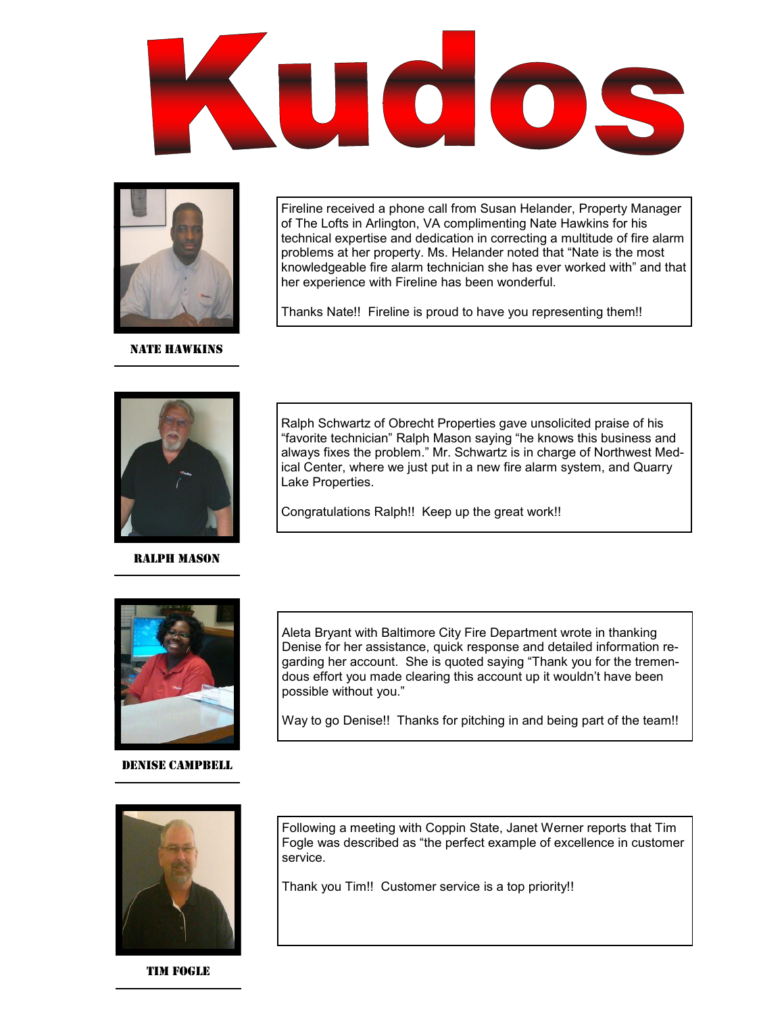



**NATE HAWKINS** 

of The Lofts in Arlington, VA complimenting Nate Hawkins for his technical expertise and dedication in correcting a multitude of fire alarm problems at her property. Ms. Helander noted that "Nate is the most knowledgeable fire alarm technician she has ever worked with" and that her experience with Fireline has been wonderful.

Fireline received a phone call from Susan Helander, Property Manager

Thanks Nate!! Fireline is proud to have you representing them!!



# Ralph Mason

Ralph Schwartz of Obrecht Properties gave unsolicited praise of his "favorite technician" Ralph Mason saying "he knows this business and always fixes the problem." Mr. Schwartz is in charge of Northwest Medical Center, where we just put in a new fire alarm system, and Quarry Lake Properties.

Congratulations Ralph!! Keep up the great work!!



# Denise Campbell

Aleta Bryant with Baltimore City Fire Department wrote in thanking Denise for her assistance, quick response and detailed information regarding her account. She is quoted saying "Thank you for the tremendous effort you made clearing this account up it wouldn't have been possible without you."

Way to go Denise!! Thanks for pitching in and being part of the team!!



Tim fogle

Following a meeting with Coppin State, Janet Werner reports that Tim Fogle was described as "the perfect example of excellence in customer service.

Thank you Tim!! Customer service is a top priority!!